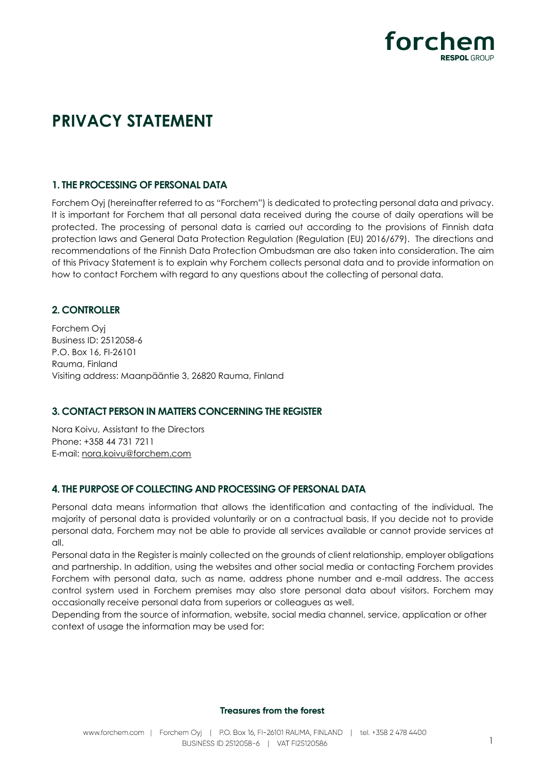

# **PRIVACY STATEMENT**

## **1. THE PROCESSING OF PERSONAL DATA**

Forchem Oyj (hereinafter referred to as "Forchem") is dedicated to protecting personal data and privacy. It is important for Forchem that all personal data received during the course of daily operations will be protected. The processing of personal data is carried out according to the provisions of Finnish data protection laws and General Data Protection Regulation (Regulation (EU) 2016/679). The directions and recommendations of the Finnish Data Protection Ombudsman are also taken into consideration. The aim of this Privacy Statement is to explain why Forchem collects personal data and to provide information on how to contact Forchem with regard to any questions about the collecting of personal data.

## **2. CONTROLLER**

Forchem Oyj Business ID: 2512058-6 P.O. Box 16, FI-26101 Rauma, Finland Visiting address: Maanpääntie 3, 26820 Rauma, Finland

## **3. CONTACT PERSON IN MATTERS CONCERNING THE REGISTER**

Nora Koivu, Assistant to the Directors Phone: +358 44 731 7211 E-mail: [nora.koivu@forchem.com](mailto:nora.koivu@forchem.com)

## **4. THE PURPOSE OF COLLECTING AND PROCESSING OF PERSONAL DATA**

Personal data means information that allows the identification and contacting of the individual. The majority of personal data is provided voluntarily or on a contractual basis. If you decide not to provide personal data, Forchem may not be able to provide all services available or cannot provide services at all.

Personal data in the Register is mainly collected on the grounds of client relationship, employer obligations and partnership. In addition, using the websites and other social media or contacting Forchem provides Forchem with personal data, such as name, address phone number and e-mail address. The access control system used in Forchem premises may also store personal data about visitors. Forchem may occasionally receive personal data from superiors or colleagues as well.

Depending from the source of information, website, social media channel, service, application or other context of usage the information may be used for:

#### **Treasures from the forest**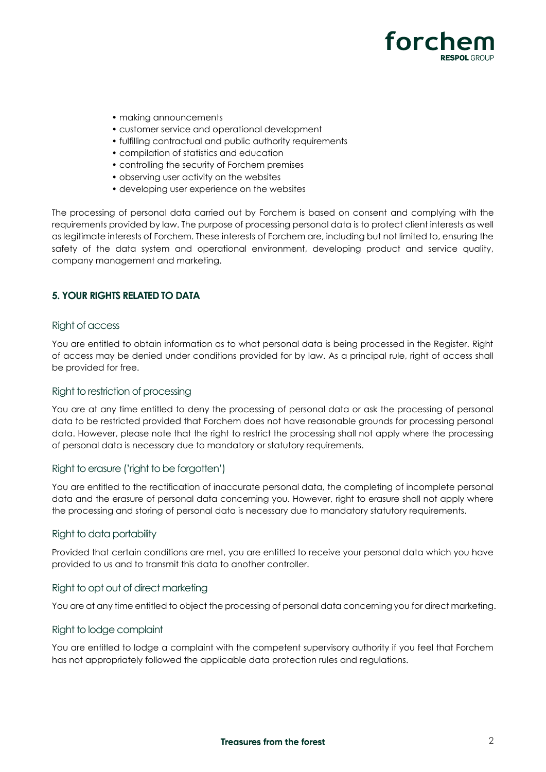

- making announcements
- customer service and operational development
- fulfilling contractual and public authority requirements
- compilation of statistics and education
- controlling the security of Forchem premises
- observing user activity on the websites
- developing user experience on the websites

The processing of personal data carried out by Forchem is based on consent and complying with the requirements provided by law. The purpose of processing personal data is to protect client interests as well as legitimate interests of Forchem. These interests of Forchem are, including but not limited to, ensuring the safety of the data system and operational environment, developing product and service quality, company management and marketing.

## **5. YOUR RIGHTS RELATED TO DATA**

#### Right of access

You are entitled to obtain information as to what personal data is being processed in the Register. Right of access may be denied under conditions provided for by law. As a principal rule, right of access shall be provided for free.

#### Right to restriction of processing

You are at any time entitled to deny the processing of personal data or ask the processing of personal data to be restricted provided that Forchem does not have reasonable grounds for processing personal data. However, please note that the right to restrict the processing shall not apply where the processing of personal data is necessary due to mandatory or statutory requirements.

#### Right to erasure ('right to be forgotten')

You are entitled to the rectification of inaccurate personal data, the completing of incomplete personal data and the erasure of personal data concerning you. However, right to erasure shall not apply where the processing and storing of personal data is necessary due to mandatory statutory requirements.

#### Right to data portability

Provided that certain conditions are met, you are entitled to receive your personal data which you have provided to us and to transmit this data to another controller.

#### Right to opt out of direct marketing

You are at any time entitled to object the processing of personal data concerning you for direct marketing.

#### Right to lodge complaint

You are entitled to lodge a complaint with the competent supervisory authority if you feel that Forchem has not appropriately followed the applicable data protection rules and regulations.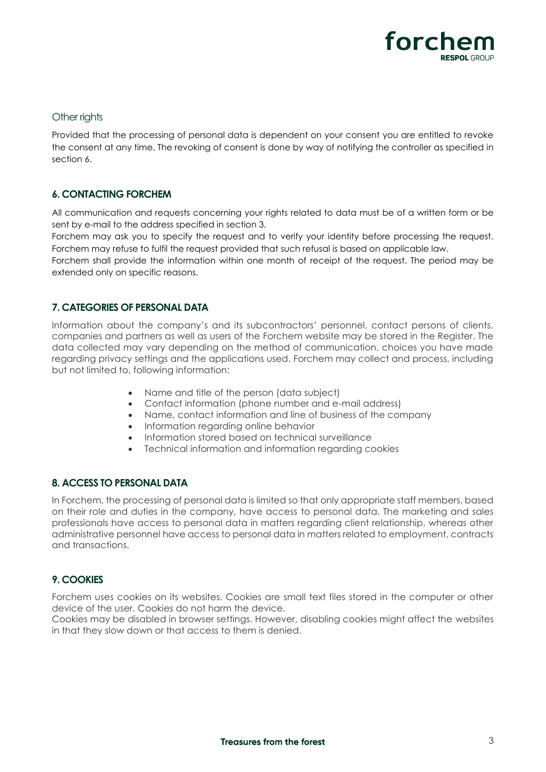

#### Other rights

Provided that the processing of personal data is dependent on your consent you are entitled to revoke the consent at any time. The revoking of consent is done by way of notifying the controller as specified in section 6.

## **6. CONTACTING FORCHEM**

All communication and requests concerning your rights related to data must be of a written form or be sent by e-mail to the address specified in section 3.

Forchem may ask you to specify the request and to verify your identity before processing the request. Forchem may refuse to fulfil the request provided that such refusal is based on applicable law.

Forchem shall provide the information within one month of receipt of the request. The period may be extended only on specific reasons.

## **7. CATEGORIES OF PERSONAL DATA**

Information about the company's and its subcontractors' personnel, contact persons of clients, companies and partners as well as users of the Forchem website may be stored in the Register. The data collected may vary depending on the method of communication, choices you have made regarding privacy settings and the applications used. Forchem may collect and process, including but not limited to, following information:

- Name and title of the person (data subject)
- Contact information (phone number and e-mail address)
- Name, contact information and line of business of the company
- Information regarding online behavior
- Information stored based on technical surveillance
- Technical information and information regarding cookies

## **8. ACCESS TO PERSONAL DATA**

In Forchem, the processing of personal data is limited so that only appropriate staff members, based on their role and duties in the company, have access to personal data. The marketing and sales professionals have access to personal data in matters regarding client relationship, whereas other administrative personnel have access to personal data in matters related to employment, contracts and transactions.

## **9. COOKIES**

Forchem uses cookies on its websites. Cookies are small text files stored in the computer or other device of the user. Cookies do not harm the device.

Cookies may be disabled in browser settings. However, disabling cookies might affect the websites in that they slow down or that access to them is denied.